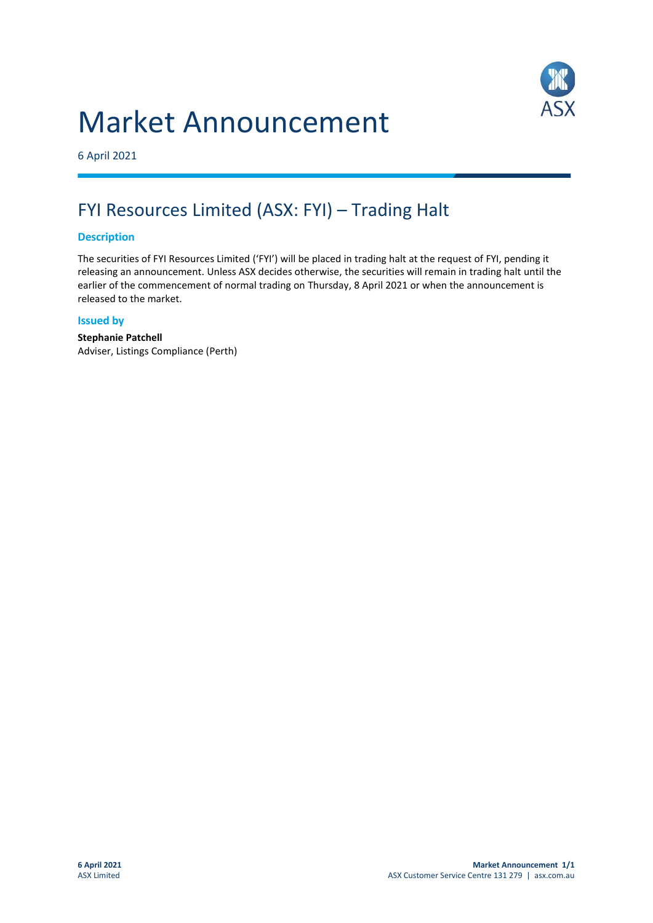# Market Announcement



6 April 2021

## FYI Resources Limited (ASX: FYI) – Trading Halt

#### **Description**

The securities of FYI Resources Limited ('FYI') will be placed in trading halt at the request of FYI, pending it releasing an announcement. Unless ASX decides otherwise, the securities will remain in trading halt until the earlier of the commencement of normal trading on Thursday, 8 April 2021 or when the announcement is released to the market.

#### **Issued by**

**Stephanie Patchell** Adviser, Listings Compliance (Perth)